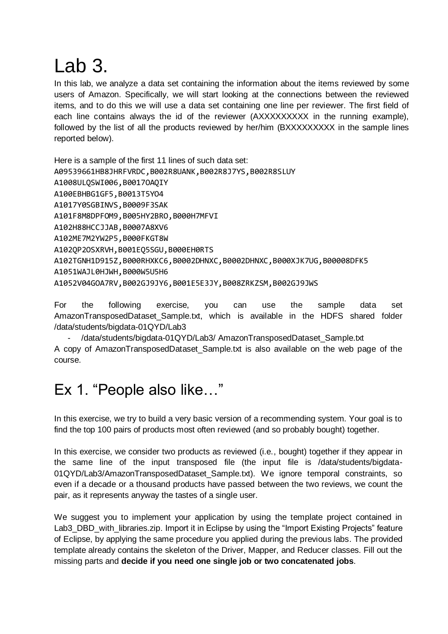## Lab 3.

In this lab, we analyze a data set containing the information about the items reviewed by some users of Amazon. Specifically, we will start looking at the connections between the reviewed items, and to do this we will use a data set containing one line per reviewer. The first field of each line contains always the id of the reviewer (AXXXXXXXX in the running example), followed by the list of all the products reviewed by her/him (BXXXXXXXXX in the sample lines reported below).

Here is a sample of the first 11 lines of such data set: A09539661HB8JHRFVRDC,B002R8UANK,B002R8J7YS,B002R8SLUY A1008ULQSWI006,B0017OAQIY A100EBHBG1GF5,B0013T5YO4 A1017Y0SGBINVS,B0009F3SAK A101F8M8DPFOM9,B005HY2BRO,B000H7MFVI A102H88HCCJJAB,B0007A8XV6 A102ME7M2YW2P5,B000FKGT8W A102QP2OSXRVH,B001EQ5SGU,B000EH0RTS A102TGNH1D915Z,B000RHXKC6,B0002DHNXC,B0002DHNXC,B000XJK7UG,B00008DFK5 A1051WAJL0HJWH,B000W5U5H6 A1052V04GOA7RV,B002GJ9JY6,B001E5E3JY,B008ZRKZSM,B002GJ9JWS

For the following exercise, you can use the sample data set AmazonTransposedDataset\_Sample.txt, which is available in the HDFS shared folder /data/students/bigdata-01QYD/Lab3

- /data/students/bigdata-01QYD/Lab3/ AmazonTransposedDataset\_Sample.txt A copy of AmazonTransposedDataset\_Sample.txt is also available on the web page of the course.

## Ex 1. "People also like…"

In this exercise, we try to build a very basic version of a recommending system. Your goal is to find the top 100 pairs of products most often reviewed (and so probably bought) together.

In this exercise, we consider two products as reviewed (i.e., bought) together if they appear in the same line of the input transposed file (the input file is /data/students/bigdata-01QYD/Lab3/AmazonTransposedDataset\_Sample.txt). We ignore temporal constraints, so even if a decade or a thousand products have passed between the two reviews, we count the pair, as it represents anyway the tastes of a single user.

We suggest you to implement your application by using the template project contained in Lab3\_DBD\_with\_libraries.zip. Import it in Eclipse by using the "Import Existing Projects" feature of Eclipse, by applying the same procedure you applied during the previous labs. The provided template already contains the skeleton of the Driver, Mapper, and Reducer classes. Fill out the missing parts and **decide if you need one single job or two concatenated jobs**.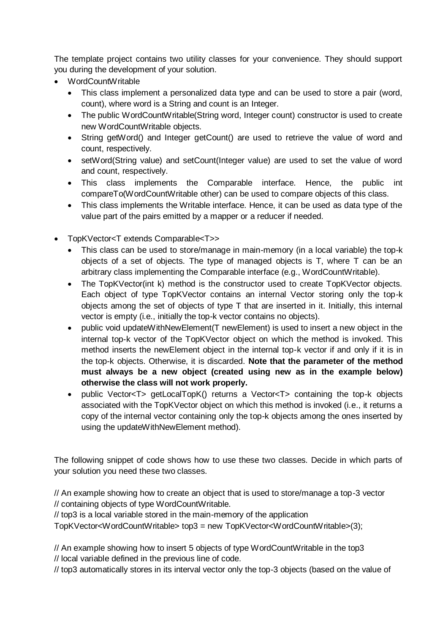The template project contains two utility classes for your convenience. They should support you during the development of your solution.

- WordCountWritable
	- This class implement a personalized data type and can be used to store a pair (word, count), where word is a String and count is an Integer.
	- The public WordCountWritable(String word, Integer count) constructor is used to create new WordCountWritable objects.
	- String getWord() and Integer getCount() are used to retrieve the value of word and count, respectively.
	- setWord(String value) and setCount(Integer value) are used to set the value of word and count, respectively.
	- This class implements the Comparable interface. Hence, the public int compareTo(WordCountWritable other) can be used to compare objects of this class.
	- This class implements the Writable interface. Hence, it can be used as data type of the value part of the pairs emitted by a mapper or a reducer if needed.
- TopKVector<T extends Comparable<T>>
	- This class can be used to store/manage in main-memory (in a local variable) the top-k objects of a set of objects. The type of managed objects is T, where T can be an arbitrary class implementing the Comparable interface (e.g., WordCountWritable).
	- The TopKVector(int k) method is the constructor used to create TopKVector objects. Each object of type TopKVector contains an internal Vector storing only the top-k objects among the set of objects of type T that are inserted in it. Initially, this internal vector is empty (i.e., initially the top-k vector contains no objects).
	- public void updateWithNewElement(T newElement) is used to insert a new object in the internal top-k vector of the TopKVector object on which the method is invoked. This method inserts the newElement object in the internal top-k vector if and only if it is in the top-k objects. Otherwise, it is discarded. **Note that the parameter of the method must always be a new object (created using new as in the example below) otherwise the class will not work properly.**
	- public Vector<T> getLocalTopK() returns a Vector<T> containing the top-k objects associated with the TopKVector object on which this method is invoked (i.e., it returns a copy of the internal vector containing only the top-k objects among the ones inserted by using the updateWithNewElement method).

The following snippet of code shows how to use these two classes. Decide in which parts of your solution you need these two classes.

// An example showing how to create an object that is used to store/manage a top-3 vector // containing objects of type WordCountWritable.

// top3 is a local variable stored in the main-memory of the application

TopKVector<WordCountWritable> top3 = new TopKVector<WordCountWritable>(3);

// An example showing how to insert 5 objects of type WordCountWritable in the top3 // local variable defined in the previous line of code.

// top3 automatically stores in its interval vector only the top-3 objects (based on the value of